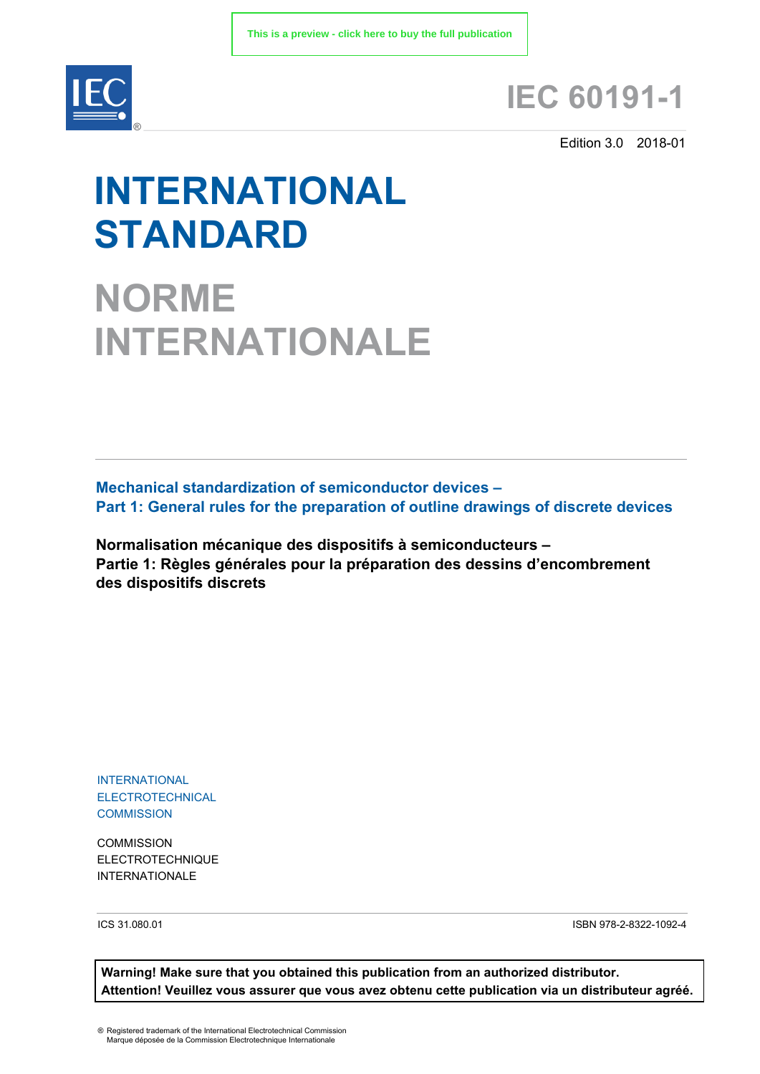

# **IEC 60191-1**

Edition 3.0 2018-01

# **INTERNATIONAL STANDARD**

**NORME INTERNATIONALE**

**Mechanical standardization of semiconductor devices – Part 1: General rules for the preparation of outline drawings of discrete devices**

**Normalisation mécanique des dispositifs à semiconducteurs – Partie 1: Règles générales pour la préparation des dessins d'encombrement des dispositifs discrets** 

INTERNATIONAL ELECTROTECHNICAL **COMMISSION** 

**COMMISSION** ELECTROTECHNIQUE INTERNATIONALE

ICS 31.080.01 ISBN 978-2-8322-1092-4

**Warning! Make sure that you obtained this publication from an authorized distributor. Attention! Veuillez vous assurer que vous avez obtenu cette publication via un distributeur agréé.**

® Registered trademark of the International Electrotechnical Commission Marque déposée de la Commission Electrotechnique Internationale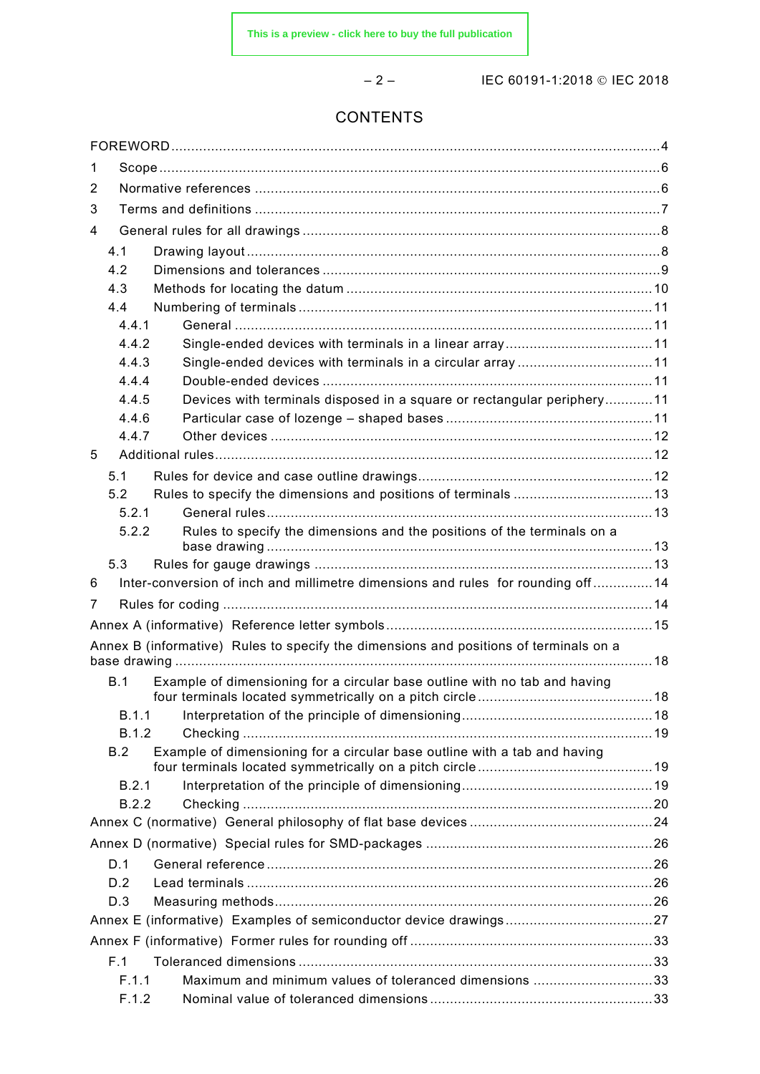– 2 – IEC 60191-1:2018 IEC 2018

# **CONTENTS**

| 1 |       |                                                                                       |  |
|---|-------|---------------------------------------------------------------------------------------|--|
| 2 |       |                                                                                       |  |
| 3 |       |                                                                                       |  |
| 4 |       |                                                                                       |  |
|   | 4.1   |                                                                                       |  |
|   | 4.2   |                                                                                       |  |
|   | 4.3   |                                                                                       |  |
|   | 4.4   |                                                                                       |  |
|   | 4.4.1 |                                                                                       |  |
|   | 4.4.2 |                                                                                       |  |
|   | 4.4.3 |                                                                                       |  |
|   | 4.4.4 |                                                                                       |  |
|   | 4.4.5 | Devices with terminals disposed in a square or rectangular periphery11                |  |
|   | 4.4.6 |                                                                                       |  |
|   | 4.4.7 |                                                                                       |  |
| 5 |       |                                                                                       |  |
|   |       |                                                                                       |  |
|   | 5.1   |                                                                                       |  |
|   | 5.2   |                                                                                       |  |
|   | 5.2.1 |                                                                                       |  |
|   | 5.2.2 | Rules to specify the dimensions and the positions of the terminals on a               |  |
|   | 5.3   |                                                                                       |  |
| 6 |       | Inter-conversion of inch and millimetre dimensions and rules for rounding off14       |  |
| 7 |       |                                                                                       |  |
|   |       |                                                                                       |  |
|   |       |                                                                                       |  |
|   |       | Annex B (informative) Rules to specify the dimensions and positions of terminals on a |  |
|   | B.1   | Example of dimensioning for a circular base outline with no tab and having            |  |
|   |       |                                                                                       |  |
|   | B.1.1 |                                                                                       |  |
|   | B.1.2 |                                                                                       |  |
|   | B.2   | Example of dimensioning for a circular base outline with a tab and having             |  |
|   |       |                                                                                       |  |
|   | B.2.1 |                                                                                       |  |
|   | B.2.2 |                                                                                       |  |
|   |       |                                                                                       |  |
|   |       |                                                                                       |  |
|   | D.1   |                                                                                       |  |
|   | D.2   |                                                                                       |  |
|   | D.3   |                                                                                       |  |
|   |       |                                                                                       |  |
|   |       |                                                                                       |  |
|   | F.1   |                                                                                       |  |
|   | F.1.1 | Maximum and minimum values of toleranced dimensions 33                                |  |
|   | F.1.2 |                                                                                       |  |
|   |       |                                                                                       |  |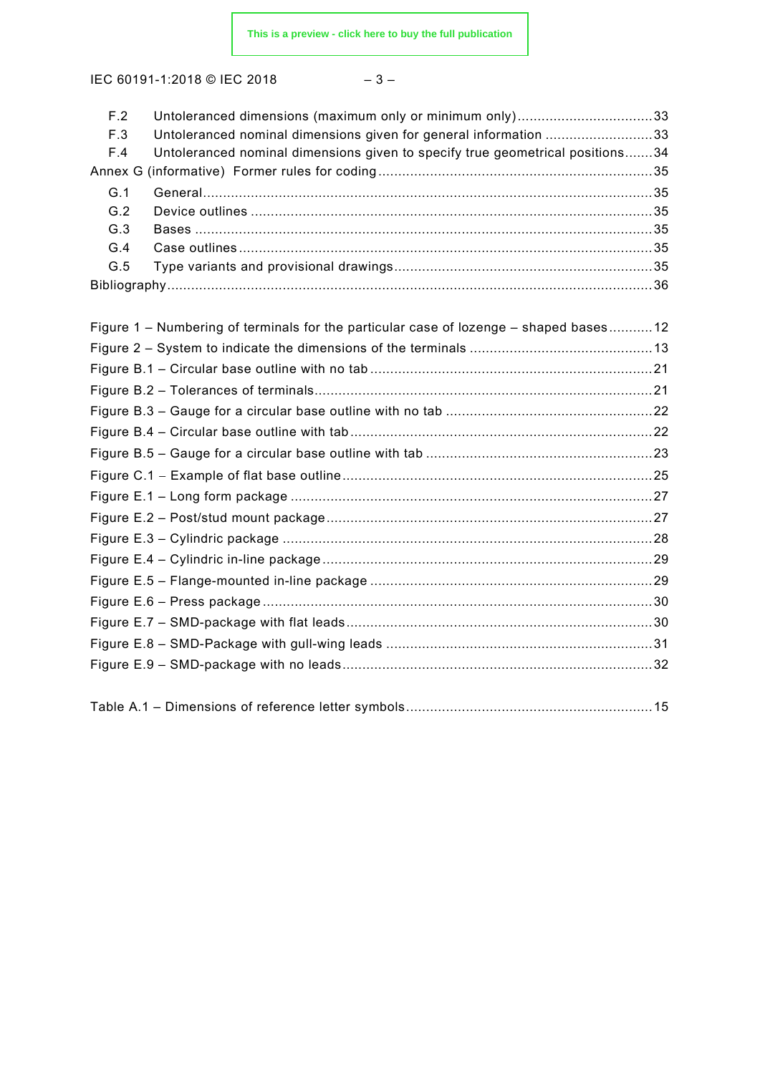$$
-\ 3\ -
$$

| F.2 | Untoleranced dimensions (maximum only or minimum only)33                      |  |
|-----|-------------------------------------------------------------------------------|--|
| F.3 | Untoleranced nominal dimensions given for general information 33              |  |
| F.4 | Untoleranced nominal dimensions given to specify true geometrical positions34 |  |
|     |                                                                               |  |
| G.1 |                                                                               |  |
| G.2 |                                                                               |  |
| G.3 |                                                                               |  |
| G.4 |                                                                               |  |
| G.5 |                                                                               |  |
|     |                                                                               |  |
|     |                                                                               |  |

| Figure 1 – Numbering of terminals for the particular case of lozenge – shaped bases12 |  |
|---------------------------------------------------------------------------------------|--|
|                                                                                       |  |
|                                                                                       |  |
|                                                                                       |  |
|                                                                                       |  |
|                                                                                       |  |
|                                                                                       |  |
|                                                                                       |  |
|                                                                                       |  |
|                                                                                       |  |
|                                                                                       |  |
|                                                                                       |  |
|                                                                                       |  |
|                                                                                       |  |
|                                                                                       |  |
|                                                                                       |  |
|                                                                                       |  |
|                                                                                       |  |
|                                                                                       |  |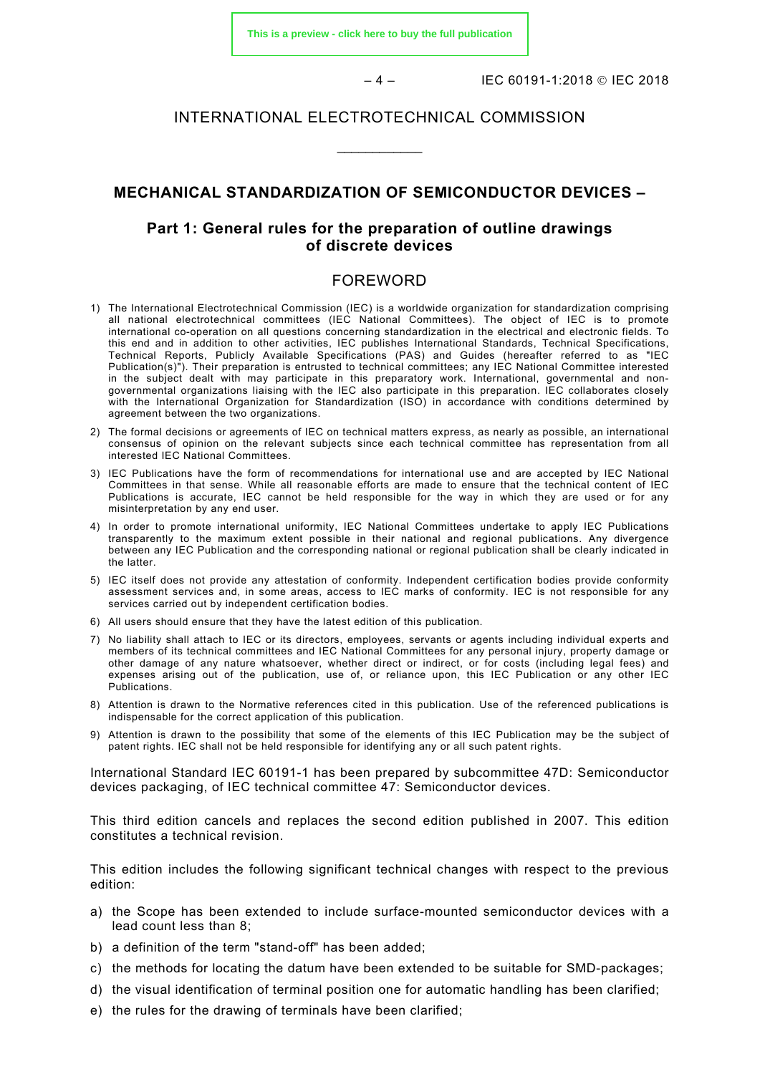**[This is a preview - click here to buy the full publication](https://webstore.iec.ch/publication/33473&preview)**

– 4 – IEC 60191-1:2018 IEC 2018

#### INTERNATIONAL ELECTROTECHNICAL COMMISSION

\_\_\_\_\_\_\_\_\_\_\_\_

#### **MECHANICAL STANDARDIZATION OF SEMICONDUCTOR DEVICES –**

## **Part 1: General rules for the preparation of outline drawings of discrete devices**

#### FOREWORD

- <span id="page-3-0"></span>1) The International Electrotechnical Commission (IEC) is a worldwide organization for standardization comprising all national electrotechnical committees (IEC National Committees). The object of IEC is to promote international co-operation on all questions concerning standardization in the electrical and electronic fields. To this end and in addition to other activities, IEC publishes International Standards, Technical Specifications, Technical Reports, Publicly Available Specifications (PAS) and Guides (hereafter referred to as "IEC Publication(s)"). Their preparation is entrusted to technical committees; any IEC National Committee interested in the subject dealt with may participate in this preparatory work. International, governmental and nongovernmental organizations liaising with the IEC also participate in this preparation. IEC collaborates closely with the International Organization for Standardization (ISO) in accordance with conditions determined by agreement between the two organizations.
- 2) The formal decisions or agreements of IEC on technical matters express, as nearly as possible, an international consensus of opinion on the relevant subjects since each technical committee has representation from all interested IEC National Committees.
- 3) IEC Publications have the form of recommendations for international use and are accepted by IEC National Committees in that sense. While all reasonable efforts are made to ensure that the technical content of IEC Publications is accurate, IEC cannot be held responsible for the way in which they are used or for any misinterpretation by any end user.
- 4) In order to promote international uniformity, IEC National Committees undertake to apply IEC Publications transparently to the maximum extent possible in their national and regional publications. Any divergence between any IEC Publication and the corresponding national or regional publication shall be clearly indicated in the latter.
- 5) IEC itself does not provide any attestation of conformity. Independent certification bodies provide conformity assessment services and, in some areas, access to IEC marks of conformity. IEC is not responsible for any services carried out by independent certification bodies.
- 6) All users should ensure that they have the latest edition of this publication.
- 7) No liability shall attach to IEC or its directors, employees, servants or agents including individual experts and members of its technical committees and IEC National Committees for any personal injury, property damage or other damage of any nature whatsoever, whether direct or indirect, or for costs (including legal fees) and expenses arising out of the publication, use of, or reliance upon, this IEC Publication or any other IEC Publications.
- 8) Attention is drawn to the Normative references cited in this publication. Use of the referenced publications is indispensable for the correct application of this publication.
- 9) Attention is drawn to the possibility that some of the elements of this IEC Publication may be the subject of patent rights. IEC shall not be held responsible for identifying any or all such patent rights.

International Standard IEC 60191-1 has been prepared by subcommittee 47D: Semiconductor devices packaging, of IEC technical committee 47: Semiconductor devices.

This third edition cancels and replaces the second edition published in 2007. This edition constitutes a technical revision.

This edition includes the following significant technical changes with respect to the previous edition:

- a) the Scope has been extended to include surface-mounted semiconductor devices with a lead count less than 8;
- b) a definition of the term "stand-off" has been added;
- c) the methods for locating the datum have been extended to be suitable for SMD-packages;
- d) the visual identification of terminal position one for automatic handling has been clarified;
- e) the rules for the drawing of terminals have been clarified;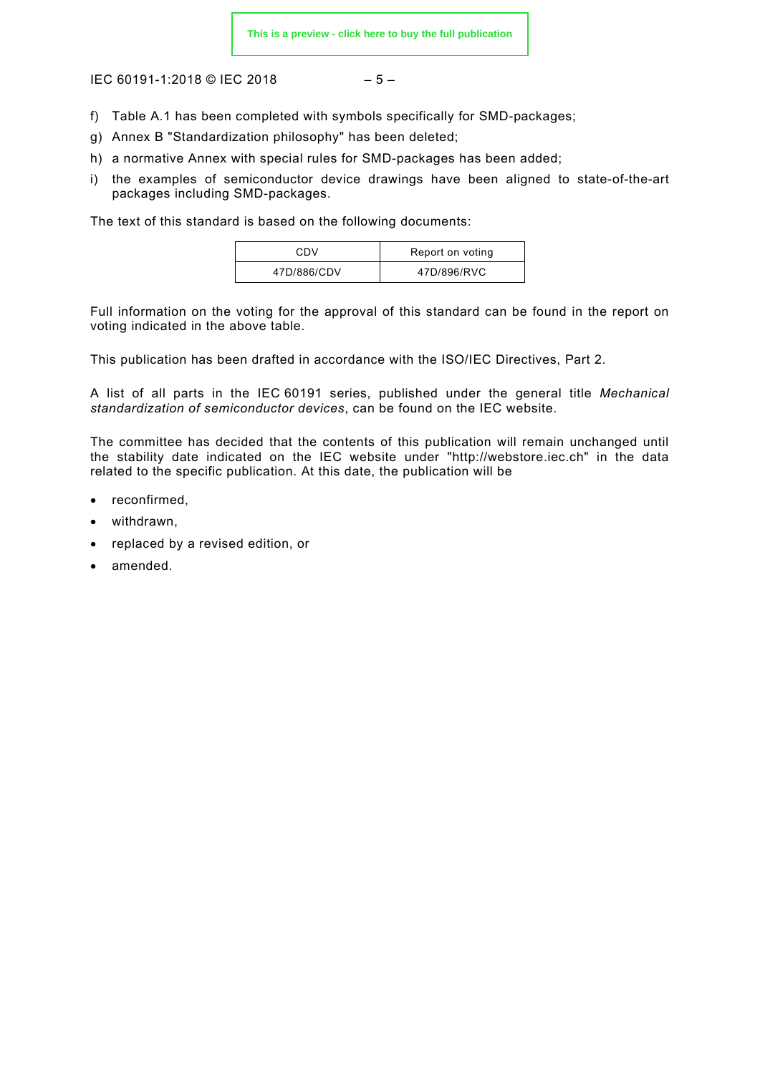IEC 60191-1:2018 © IEC 2018 – 5 –

- f) Table A.1 has been completed with symbols specifically for SMD-packages;
- g) Annex B "Standardization philosophy" has been deleted;
- h) a normative Annex with special rules for SMD-packages has been added;
- i) the examples of semiconductor device drawings have been aligned to state-of-the-art packages including SMD-packages.

The text of this standard is based on the following documents:

| CDV         | Report on voting |
|-------------|------------------|
| 47D/886/CDV | 47D/896/RVC      |

Full information on the voting for the approval of this standard can be found in the report on voting indicated in the above table.

This publication has been drafted in accordance with the ISO/IEC Directives, Part 2.

A list of all parts in the IEC 60191 series, published under the general title *Mechanical standardization of semiconductor devices*, can be found on the IEC website.

The committee has decided that the contents of this publication will remain unchanged until the stability date indicated on the IEC website under "http://webstore.iec.ch" in the data related to the specific publication. At this date, the publication will be

- reconfirmed,
- withdrawn,
- replaced by a revised edition, or
- amended.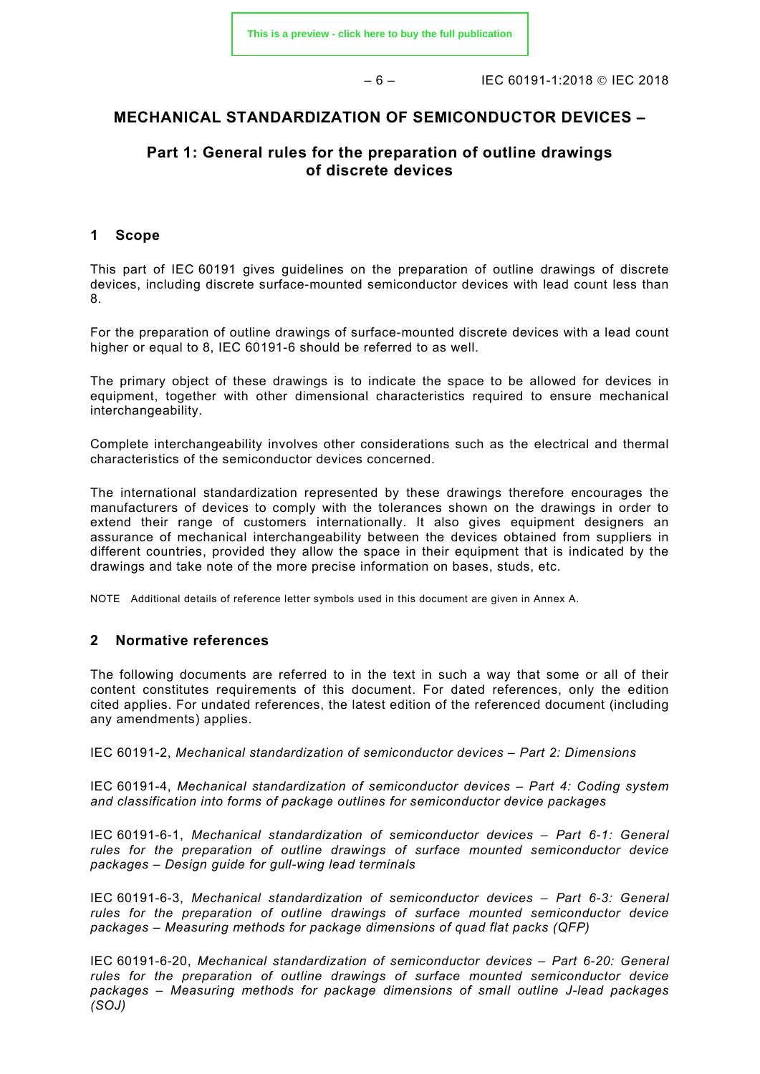$-6 -$  IFC 60191-1:2018 © IFC 2018

## **MECHANICAL STANDARDIZATION OF SEMICONDUCTOR DEVICES –**

# **Part 1: General rules for the preparation of outline drawings of discrete devices**

#### <span id="page-5-0"></span>**1 Scope**

This part of IEC 60191 gives guidelines on the preparation of outline drawings of discrete devices, including discrete surface-mounted semiconductor devices with lead count less than 8.

For the preparation of outline drawings of surface-mounted discrete devices with a lead count higher or equal to 8, IEC 60191-6 should be referred to as well.

The primary object of these drawings is to indicate the space to be allowed for devices in equipment, together with other dimensional characteristics required to ensure mechanical interchangeability.

Complete interchangeability involves other considerations such as the electrical and thermal characteristics of the semiconductor devices concerned.

The international standardization represented by these drawings therefore encourages the manufacturers of devices to comply with the tolerances shown on the drawings in order to extend their range of customers internationally. It also gives equipment designers an assurance of mechanical interchangeability between the devices obtained from suppliers in different countries, provided they allow the space in their equipment that is indicated by the drawings and take note of the more precise information on bases, studs, etc.

NOTE Additional details of reference letter symbols used in this document are given in Annex A.

#### <span id="page-5-1"></span>**2 Normative references**

The following documents are referred to in the text in such a way that some or all of their content constitutes requirements of this document. For dated references, only the edition cited applies. For undated references, the latest edition of the referenced document (including any amendments) applies.

IEC 60191-2, *Mechanical standardization of semiconductor devices – Part 2: Dimensions* 

IEC 60191-4, *Mechanical standardization of semiconductor devices – Part 4: Coding system and classification into forms of package outlines for semiconductor device packages*

IEC 60191-6-1, *Mechanical standardization of semiconductor devices – Part 6-1: General rules for the preparation of outline drawings of surface mounted semiconductor device packages – Design guide for gull-wing lead terminals*

IEC 60191-6-3, *Mechanical standardization of semiconductor devices – Part 6-3: General rules for the preparation of outline drawings of surface mounted semiconductor device packages – Measuring methods for package dimensions of quad flat packs (QFP)*

IEC 60191-6-20, *Mechanical standardization of semiconductor devices – Part 6-20: General rules for the preparation of outline drawings of surface mounted semiconductor device packages – Measuring methods for package dimensions of small outline J-lead packages (SOJ)*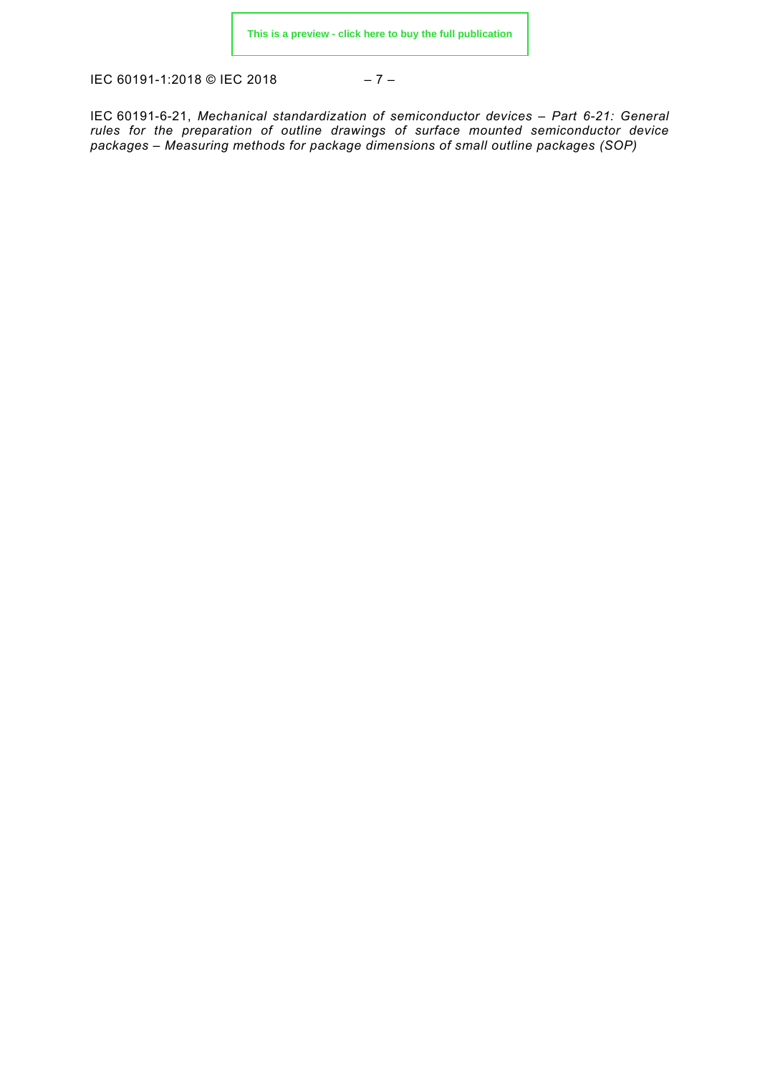IEC 60191-1:2018 © IEC 2018 – 7 –

<span id="page-6-0"></span>IEC 60191-6-21, *Mechanical standardization of semiconductor devices – Part 6-21: General rules for the preparation of outline drawings of surface mounted semiconductor device packages – Measuring methods for package dimensions of small outline packages (SOP)*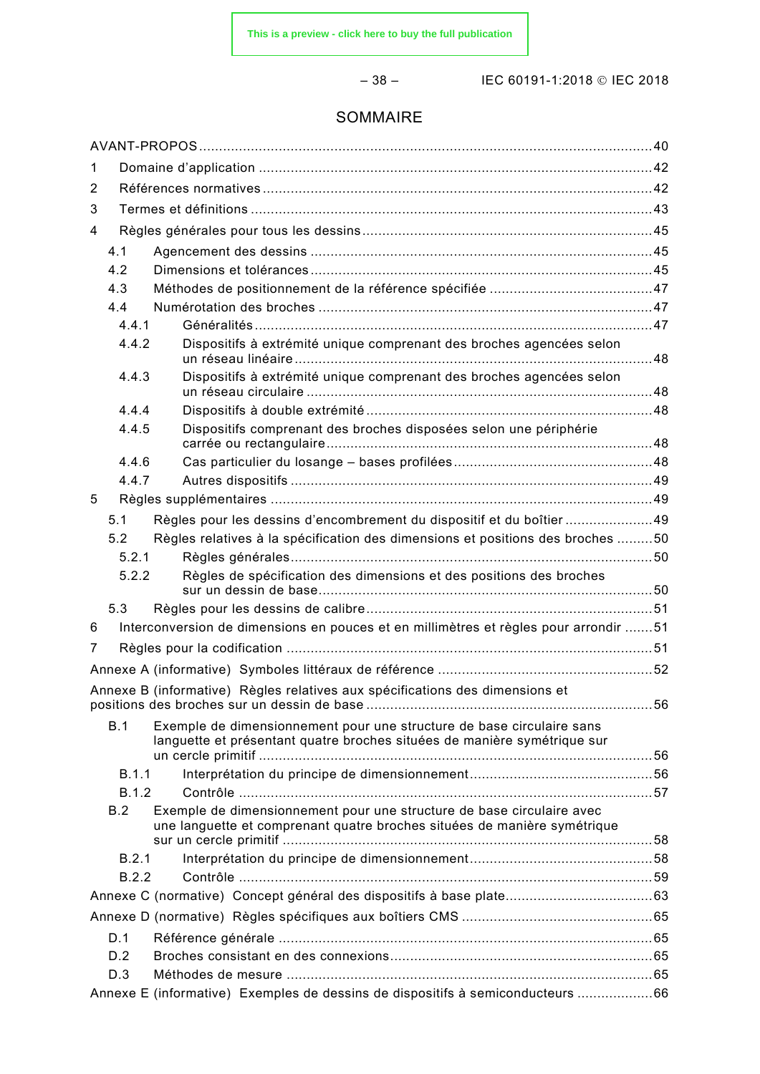# SOMMAIRE

| 1 |                                                                              |                                                                                                                                                   |  |
|---|------------------------------------------------------------------------------|---------------------------------------------------------------------------------------------------------------------------------------------------|--|
| 2 |                                                                              |                                                                                                                                                   |  |
| 3 |                                                                              |                                                                                                                                                   |  |
| 4 |                                                                              |                                                                                                                                                   |  |
|   | 4.1                                                                          |                                                                                                                                                   |  |
|   | 4.2                                                                          |                                                                                                                                                   |  |
|   | 4.3                                                                          |                                                                                                                                                   |  |
|   | 4.4                                                                          |                                                                                                                                                   |  |
|   | 4.4.1                                                                        |                                                                                                                                                   |  |
|   | 4.4.2                                                                        | Dispositifs à extrémité unique comprenant des broches agencées selon                                                                              |  |
|   | 4.4.3                                                                        | Dispositifs à extrémité unique comprenant des broches agencées selon                                                                              |  |
|   | 4.4.4                                                                        |                                                                                                                                                   |  |
|   | 4.4.5                                                                        | Dispositifs comprenant des broches disposées selon une périphérie                                                                                 |  |
|   | 4.4.6                                                                        |                                                                                                                                                   |  |
|   | 4.4.7                                                                        |                                                                                                                                                   |  |
| 5 |                                                                              |                                                                                                                                                   |  |
|   | 5.1                                                                          | Règles pour les dessins d'encombrement du dispositif et du boîtier 49                                                                             |  |
|   | 5.2                                                                          | Règles relatives à la spécification des dimensions et positions des broches 50                                                                    |  |
|   | 5.2.1                                                                        |                                                                                                                                                   |  |
|   | 5.2.2                                                                        | Règles de spécification des dimensions et des positions des broches                                                                               |  |
|   | 5.3                                                                          |                                                                                                                                                   |  |
| 6 |                                                                              | Interconversion de dimensions en pouces et en millimètres et règles pour arrondir 51                                                              |  |
| 7 |                                                                              |                                                                                                                                                   |  |
|   |                                                                              |                                                                                                                                                   |  |
|   | Annexe B (informative) Règles relatives aux spécifications des dimensions et |                                                                                                                                                   |  |
|   | B.1                                                                          | Exemple de dimensionnement pour une structure de base circulaire sans<br>languette et présentant quatre broches situées de manière symétrique sur |  |
|   | <b>B.1.1</b>                                                                 |                                                                                                                                                   |  |
|   | B.1.2                                                                        |                                                                                                                                                   |  |
|   | B.2                                                                          | Exemple de dimensionnement pour une structure de base circulaire avec<br>une languette et comprenant quatre broches situées de manière symétrique |  |
|   | B.2.1                                                                        |                                                                                                                                                   |  |
|   | B.2.2                                                                        |                                                                                                                                                   |  |
|   |                                                                              |                                                                                                                                                   |  |
|   |                                                                              |                                                                                                                                                   |  |
|   |                                                                              |                                                                                                                                                   |  |
|   | D.1                                                                          |                                                                                                                                                   |  |
|   | D.2                                                                          |                                                                                                                                                   |  |
|   | D.3                                                                          |                                                                                                                                                   |  |
|   |                                                                              | Annexe E (informative) Exemples de dessins de dispositifs à semiconducteurs 66                                                                    |  |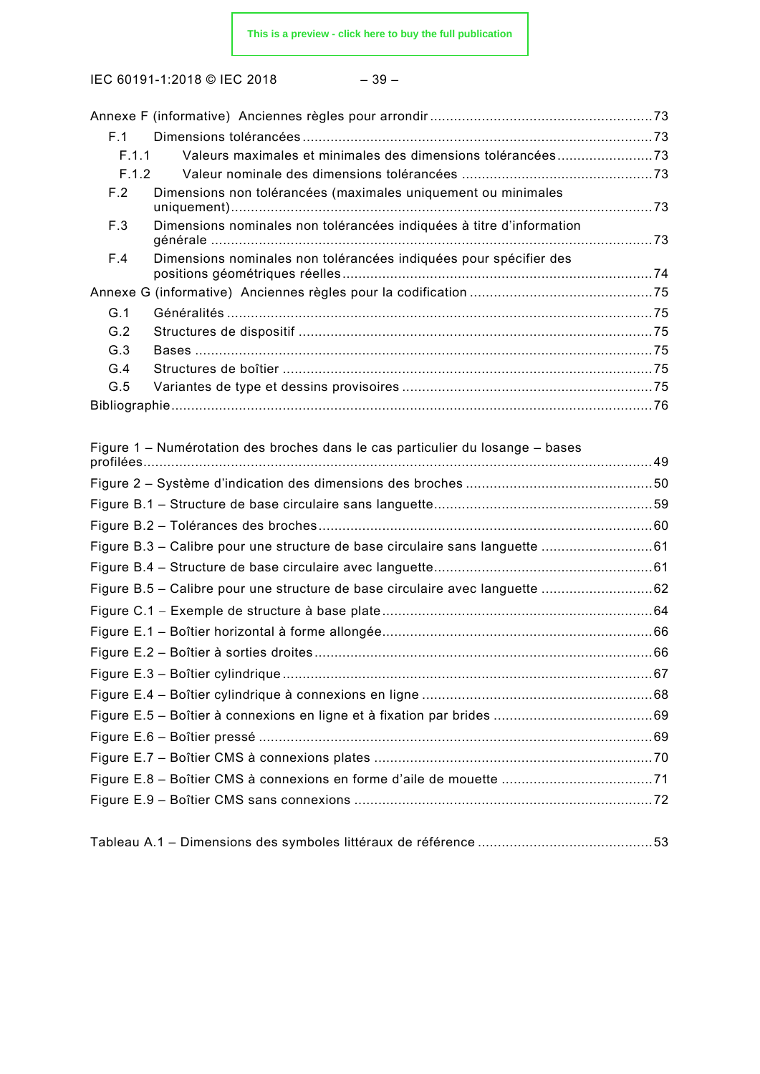$$
-39-
$$

| F.1   |                                                                                |  |
|-------|--------------------------------------------------------------------------------|--|
| F.1.1 |                                                                                |  |
| F.1.2 |                                                                                |  |
| F.2   | Dimensions non tolérancées (maximales uniquement ou minimales                  |  |
| F.3   | Dimensions nominales non tolérancées indiquées à titre d'information           |  |
| F.4   | Dimensions nominales non tolérancées indiquées pour spécifier des              |  |
|       |                                                                                |  |
| G.1   |                                                                                |  |
| G.2   |                                                                                |  |
| G.3   |                                                                                |  |
| G.4   |                                                                                |  |
| G.5   |                                                                                |  |
|       |                                                                                |  |
|       | Figure 1 – Numérotation des broches dans le cas particulier du losange – bases |  |
|       |                                                                                |  |
|       |                                                                                |  |

| Figure B.3 - Calibre pour une structure de base circulaire sans languette 61 |  |
|------------------------------------------------------------------------------|--|
|                                                                              |  |
| Figure B.5 - Calibre pour une structure de base circulaire avec languette 62 |  |
|                                                                              |  |
|                                                                              |  |
|                                                                              |  |
|                                                                              |  |
|                                                                              |  |
|                                                                              |  |
|                                                                              |  |
|                                                                              |  |
|                                                                              |  |
|                                                                              |  |
|                                                                              |  |
|                                                                              |  |

Tableau A.1 – Dimensions des symboles littéraux de référence ............................................53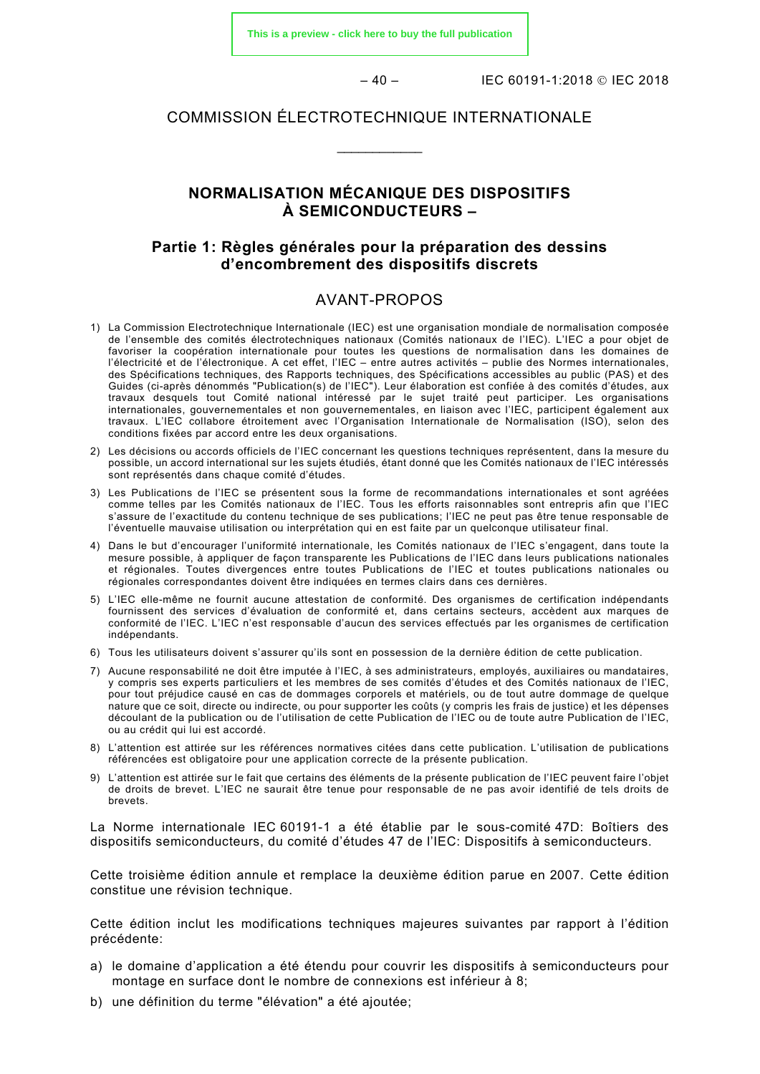**[This is a preview - click here to buy the full publication](https://webstore.iec.ch/publication/33473&preview)**

 $-40 -$  IEC 60191-1:2018 © IEC 2018

#### COMMISSION ÉLECTROTECHNIQUE INTERNATIONALE

\_\_\_\_\_\_\_\_\_\_\_\_

# **NORMALISATION MÉCANIQUE DES DISPOSITIFS À SEMICONDUCTEURS –**

#### **Partie 1: Règles générales pour la préparation des dessins d'encombrement des dispositifs discrets**

#### AVANT-PROPOS

- <span id="page-9-0"></span>1) La Commission Electrotechnique Internationale (IEC) est une organisation mondiale de normalisation composée de l'ensemble des comités électrotechniques nationaux (Comités nationaux de l'IEC). L'IEC a pour objet de favoriser la coopération internationale pour toutes les questions de normalisation dans les domaines de l'électricité et de l'électronique. A cet effet, l'IEC – entre autres activités – publie des Normes internationales, des Spécifications techniques, des Rapports techniques, des Spécifications accessibles au public (PAS) et des Guides (ci-après dénommés "Publication(s) de l'IEC"). Leur élaboration est confiée à des comités d'études, aux travaux desquels tout Comité national intéressé par le sujet traité peut participer. Les organisations internationales, gouvernementales et non gouvernementales, en liaison avec l'IEC, participent également aux travaux. L'IEC collabore étroitement avec l'Organisation Internationale de Normalisation (ISO), selon des conditions fixées par accord entre les deux organisations.
- 2) Les décisions ou accords officiels de l'IEC concernant les questions techniques représentent, dans la mesure du possible, un accord international sur les sujets étudiés, étant donné que les Comités nationaux de l'IEC intéressés sont représentés dans chaque comité d'études.
- 3) Les Publications de l'IEC se présentent sous la forme de recommandations internationales et sont agréées comme telles par les Comités nationaux de l'IEC. Tous les efforts raisonnables sont entrepris afin que l'IEC s'assure de l'exactitude du contenu technique de ses publications; l'IEC ne peut pas être tenue responsable de l'éventuelle mauvaise utilisation ou interprétation qui en est faite par un quelconque utilisateur final.
- 4) Dans le but d'encourager l'uniformité internationale, les Comités nationaux de l'IEC s'engagent, dans toute la mesure possible, à appliquer de façon transparente les Publications de l'IEC dans leurs publications nationales et régionales. Toutes divergences entre toutes Publications de l'IEC et toutes publications nationales ou régionales correspondantes doivent être indiquées en termes clairs dans ces dernières.
- 5) L'IEC elle-même ne fournit aucune attestation de conformité. Des organismes de certification indépendants fournissent des services d'évaluation de conformité et, dans certains secteurs, accèdent aux marques de conformité de l'IEC. L'IEC n'est responsable d'aucun des services effectués par les organismes de certification indépendants.
- 6) Tous les utilisateurs doivent s'assurer qu'ils sont en possession de la dernière édition de cette publication.
- 7) Aucune responsabilité ne doit être imputée à l'IEC, à ses administrateurs, employés, auxiliaires ou mandataires, y compris ses experts particuliers et les membres de ses comités d'études et des Comités nationaux de l'IEC, pour tout préjudice causé en cas de dommages corporels et matériels, ou de tout autre dommage de quelque nature que ce soit, directe ou indirecte, ou pour supporter les coûts (y compris les frais de justice) et les dépenses découlant de la publication ou de l'utilisation de cette Publication de l'IEC ou de toute autre Publication de l'IEC, ou au crédit qui lui est accordé.
- 8) L'attention est attirée sur les références normatives citées dans cette publication. L'utilisation de publications référencées est obligatoire pour une application correcte de la présente publication.
- 9) L'attention est attirée sur le fait que certains des éléments de la présente publication de l'IEC peuvent faire l'objet de droits de brevet. L'IEC ne saurait être tenue pour responsable de ne pas avoir identifié de tels droits de brevets.

La Norme internationale IEC 60191-1 a été établie par le sous-comité 47D: Boîtiers des dispositifs semiconducteurs, du comité d'études 47 de l'IEC: Dispositifs à semiconducteurs.

Cette troisième édition annule et remplace la deuxième édition parue en 2007. Cette édition constitue une révision technique.

Cette édition inclut les modifications techniques majeures suivantes par rapport à l'édition précédente:

- a) le domaine d'application a été étendu pour couvrir les dispositifs à semiconducteurs pour montage en surface dont le nombre de connexions est inférieur à 8;
- b) une définition du terme "élévation" a été ajoutée;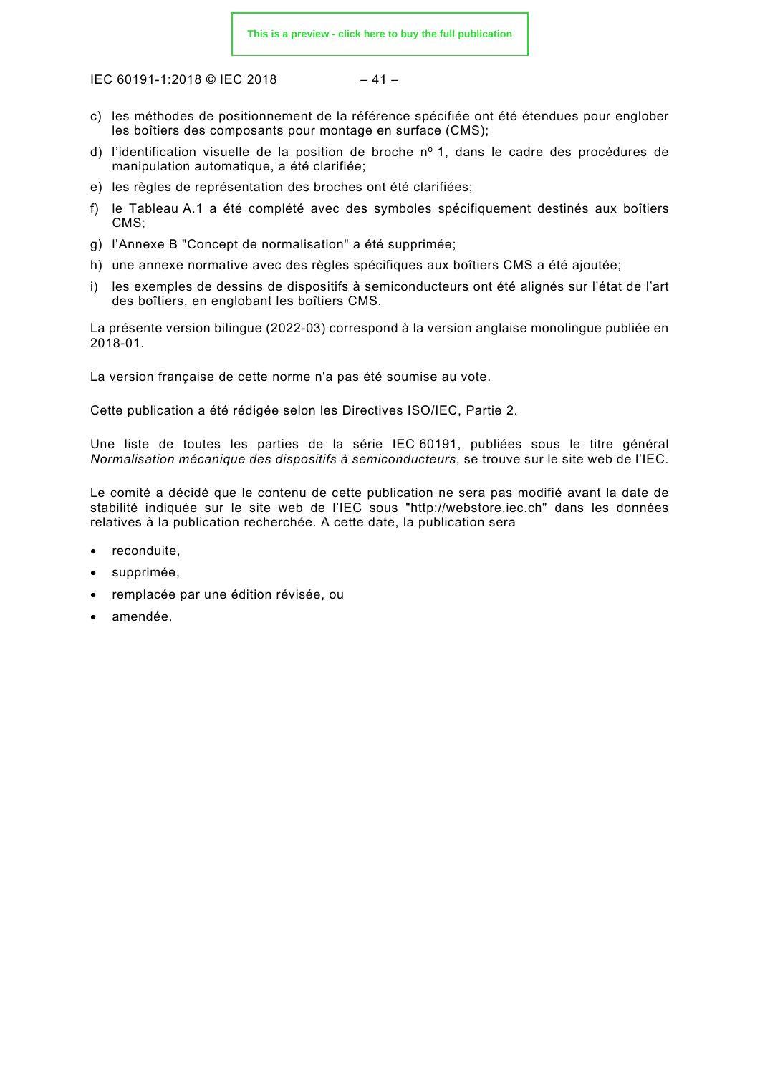$$
-41-
$$

- c) les méthodes de positionnement de la référence spécifiée ont été étendues pour englober les boîtiers des composants pour montage en surface (CMS);
- d) l'identification visuelle de la position de broche nº 1, dans le cadre des procédures de manipulation automatique, a été clarifiée;
- e) les règles de représentation des broches ont été clarifiées;
- f) le Tableau A.1 a été complété avec des symboles spécifiquement destinés aux boîtiers CMS;
- g) l'Annexe B "Concept de normalisation" a été supprimée;
- h) une annexe normative avec des règles spécifiques aux boîtiers CMS a été ajoutée;
- i) les exemples de dessins de dispositifs à semiconducteurs ont été alignés sur l'état de l'art des boîtiers, en englobant les boîtiers CMS.

La présente version bilingue (2022-03) correspond à la version anglaise monolingue publiée en 2018-01.

La version française de cette norme n'a pas été soumise au vote.

Cette publication a été rédigée selon les Directives ISO/IEC, Partie 2.

Une liste de toutes les parties de la série IEC 60191, publiées sous le titre général *Normalisation mécanique des dispositifs à semiconducteurs*, se trouve sur le site web de l'IEC.

Le comité a décidé que le contenu de cette publication ne sera pas modifié avant la date de stabilité indiquée sur le site web de l'IEC sous "http://webstore.iec.ch" dans les données relatives à la publication recherchée. A cette date, la publication sera

- reconduite,
- supprimée.
- remplacée par une édition révisée, ou
- amendée.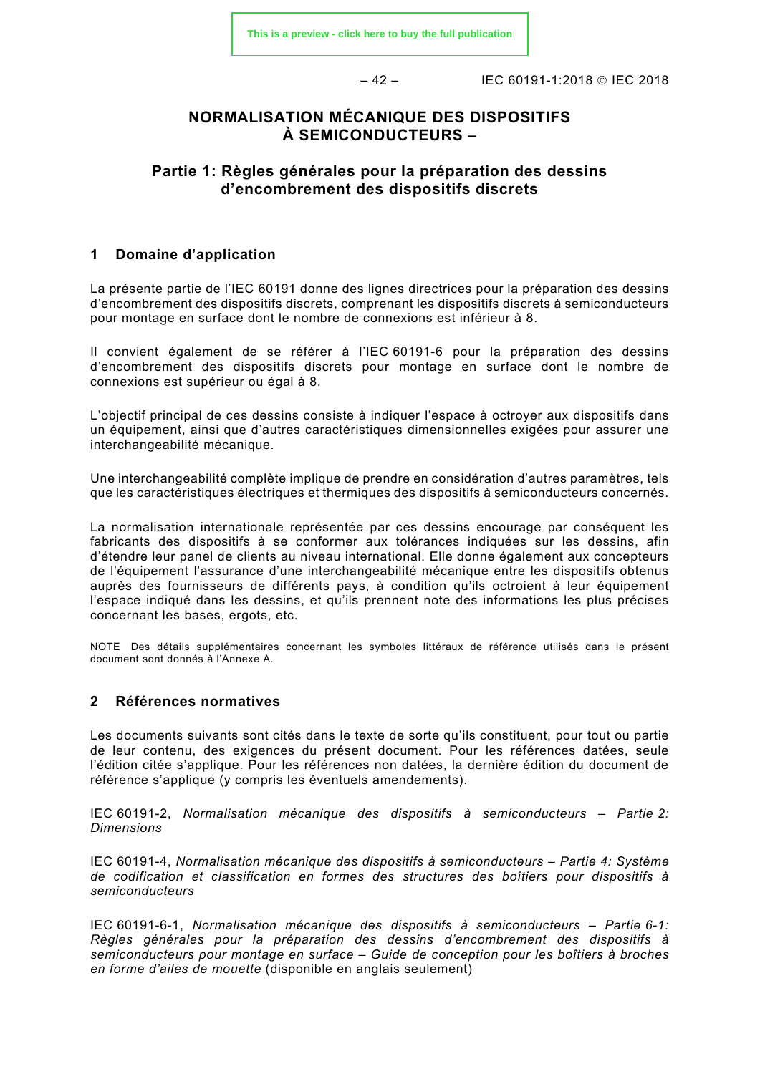$-42 - 15$  IFC 60191-1:2018 © IFC 2018

# **NORMALISATION MÉCANIQUE DES DISPOSITIFS À SEMICONDUCTEURS –**

# **Partie 1: Règles générales pour la préparation des dessins d'encombrement des dispositifs discrets**

#### <span id="page-11-0"></span>**1 Domaine d'application**

La présente partie de l'IEC 60191 donne des lignes directrices pour la préparation des dessins d'encombrement des dispositifs discrets, comprenant les dispositifs discrets à semiconducteurs pour montage en surface dont le nombre de connexions est inférieur à 8.

Il convient également de se référer à l'IEC 60191-6 pour la préparation des dessins d'encombrement des dispositifs discrets pour montage en surface dont le nombre de connexions est supérieur ou égal à 8.

L'objectif principal de ces dessins consiste à indiquer l'espace à octroyer aux dispositifs dans un équipement, ainsi que d'autres caractéristiques dimensionnelles exigées pour assurer une interchangeabilité mécanique.

Une interchangeabilité complète implique de prendre en considération d'autres paramètres, tels que les caractéristiques électriques et thermiques des dispositifs à semiconducteurs concernés.

La normalisation internationale représentée par ces dessins encourage par conséquent les fabricants des dispositifs à se conformer aux tolérances indiquées sur les dessins, afin d'étendre leur panel de clients au niveau international. Elle donne également aux concepteurs de l'équipement l'assurance d'une interchangeabilité mécanique entre les dispositifs obtenus auprès des fournisseurs de différents pays, à condition qu'ils octroient à leur équipement l'espace indiqué dans les dessins, et qu'ils prennent note des informations les plus précises concernant les bases, ergots, etc.

NOTE Des détails supplémentaires concernant les symboles littéraux de référence utilisés dans le présent document sont donnés à l'Annexe A.

#### <span id="page-11-1"></span>**2 Références normatives**

Les documents suivants sont cités dans le texte de sorte qu'ils constituent, pour tout ou partie de leur contenu, des exigences du présent document. Pour les références datées, seule l'édition citée s'applique. Pour les références non datées, la dernière édition du document de référence s'applique (y compris les éventuels amendements).

IEC 60191-2, *Normalisation mécanique des dispositifs à semiconducteurs – Partie 2: Dimensions* 

IEC 60191-4, *Normalisation mécanique des dispositifs à semiconducteurs – Partie 4: Système de codification et classification en formes des structures des boîtiers pour dispositifs à semiconducteurs*

IEC 60191-6-1, *Normalisation mécanique des dispositifs à semiconducteurs – Partie 6-1: Règles générales pour la préparation des dessins d'encombrement des dispositifs à semiconducteurs pour montage en surface – Guide de conception pour les boîtiers à broches en forme d'ailes de mouette* (disponible en anglais seulement)